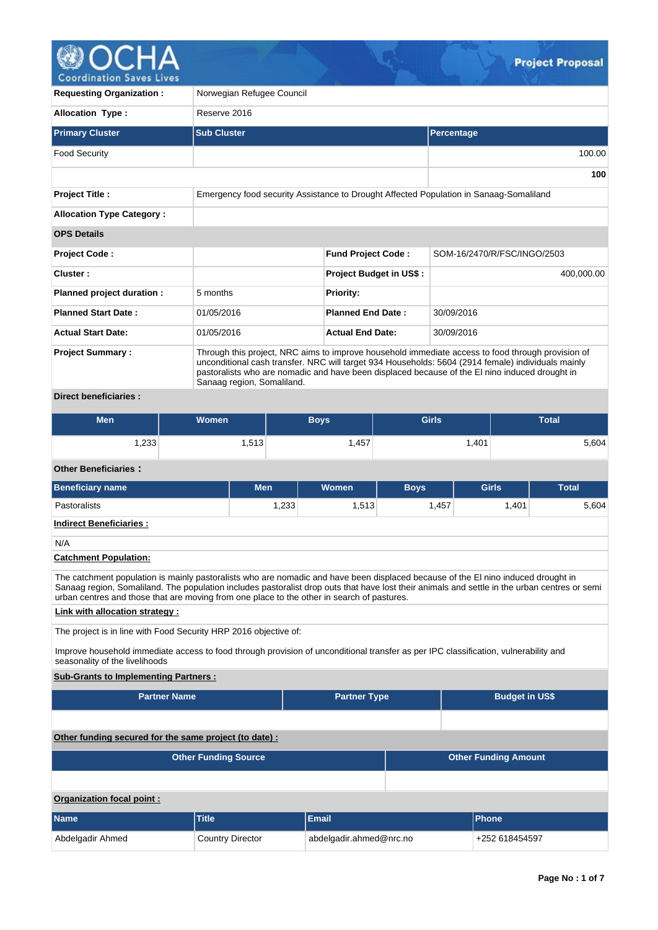

| <b>Requesting Organization:</b>  | Norwegian Refugee Council                                                                                                                                                                                                                                                                                                               |                                |                             |  |  |  |  |  |
|----------------------------------|-----------------------------------------------------------------------------------------------------------------------------------------------------------------------------------------------------------------------------------------------------------------------------------------------------------------------------------------|--------------------------------|-----------------------------|--|--|--|--|--|
| <b>Allocation Type:</b>          | Reserve 2016                                                                                                                                                                                                                                                                                                                            |                                |                             |  |  |  |  |  |
| <b>Primary Cluster</b>           | <b>Sub Cluster</b>                                                                                                                                                                                                                                                                                                                      |                                | Percentage                  |  |  |  |  |  |
| <b>Food Security</b>             |                                                                                                                                                                                                                                                                                                                                         |                                | 100.00                      |  |  |  |  |  |
|                                  |                                                                                                                                                                                                                                                                                                                                         |                                | 100                         |  |  |  |  |  |
| <b>Project Title:</b>            | Emergency food security Assistance to Drought Affected Population in Sanaag-Somaliland                                                                                                                                                                                                                                                  |                                |                             |  |  |  |  |  |
| <b>Allocation Type Category:</b> |                                                                                                                                                                                                                                                                                                                                         |                                |                             |  |  |  |  |  |
| <b>OPS Details</b>               |                                                                                                                                                                                                                                                                                                                                         |                                |                             |  |  |  |  |  |
| <b>Project Code:</b>             |                                                                                                                                                                                                                                                                                                                                         | <b>Fund Project Code:</b>      | SOM-16/2470/R/FSC/INGO/2503 |  |  |  |  |  |
| Cluster:                         |                                                                                                                                                                                                                                                                                                                                         | <b>Project Budget in US\$:</b> | 400.000.00                  |  |  |  |  |  |
| Planned project duration :       | 5 months                                                                                                                                                                                                                                                                                                                                | <b>Priority:</b>               |                             |  |  |  |  |  |
| <b>Planned Start Date:</b>       | 01/05/2016                                                                                                                                                                                                                                                                                                                              | <b>Planned End Date:</b>       | 30/09/2016                  |  |  |  |  |  |
| <b>Actual Start Date:</b>        | 01/05/2016                                                                                                                                                                                                                                                                                                                              | <b>Actual End Date:</b>        | 30/09/2016                  |  |  |  |  |  |
| <b>Project Summary:</b>          | Through this project, NRC aims to improve household immediate access to food through provision of<br>unconditional cash transfer. NRC will target 934 Households: 5604 (2914 female) individuals mainly<br>pastoralists who are nomadic and have been displaced because of the El nino induced drought in<br>Sanaag region, Somaliland. |                                |                             |  |  |  |  |  |
| <b>Direct beneficiaries:</b>     |                                                                                                                                                                                                                                                                                                                                         |                                |                             |  |  |  |  |  |

| Men  | <b>Women</b>    | <b>Boys</b> | <b>Girls</b> | <b>Total</b> |
|------|-----------------|-------------|--------------|--------------|
| ,233 | 513<br>ن ا ن, ا | 457<br>וטד  | .401         | 5,604        |

# **Other Beneficiaries :**

| <b>Beneficiary name</b>                                                                                                                                                                                                                                                            | <b>Men</b> | Women | <b>Boys</b> | <b>Girls</b> | <b>Total</b> |  |  |  |  |  |  |
|------------------------------------------------------------------------------------------------------------------------------------------------------------------------------------------------------------------------------------------------------------------------------------|------------|-------|-------------|--------------|--------------|--|--|--|--|--|--|
| <b>Pastoralists</b>                                                                                                                                                                                                                                                                | 1.233      | 1.513 | 1.457       | 1.401        | 5.604        |  |  |  |  |  |  |
| <b>Indirect Beneficiaries:</b>                                                                                                                                                                                                                                                     |            |       |             |              |              |  |  |  |  |  |  |
| N/A                                                                                                                                                                                                                                                                                |            |       |             |              |              |  |  |  |  |  |  |
| <b>Catchment Population:</b>                                                                                                                                                                                                                                                       |            |       |             |              |              |  |  |  |  |  |  |
| The catchment population is mainly pastoralists who are nomadic and have been displaced because of the El nino induced drought in<br>Sanaag region, Somaliland. The population includes pastoralist drop outs that have lost their animals and settle in the urban centres or semi |            |       |             |              |              |  |  |  |  |  |  |

# **Link with allocation strategy :**

The project is in line with Food Security HRP 2016 objective of:

urban centres and those that are moving from one place to the other in search of pastures.

Improve household immediate access to food through provision of unconditional transfer as per IPC classification, vulnerability and seasonality of the livelihoods

# **Sub-Grants to Implementing Partners :**

| <b>Partner Name</b>                                   |                             | <b>Partner Type</b>                       |  | <b>Budget in US\$</b>       |  |  |  |  |
|-------------------------------------------------------|-----------------------------|-------------------------------------------|--|-----------------------------|--|--|--|--|
|                                                       |                             |                                           |  |                             |  |  |  |  |
| Other funding secured for the same project (to date): |                             |                                           |  |                             |  |  |  |  |
|                                                       | <b>Other Funding Source</b> |                                           |  | <b>Other Funding Amount</b> |  |  |  |  |
|                                                       |                             |                                           |  |                             |  |  |  |  |
| Organization focal point:                             |                             |                                           |  |                             |  |  |  |  |
| <b>Name</b>                                           | <b>Title</b>                | <b>Email</b>                              |  | <b>Phone</b>                |  |  |  |  |
| Abdelgadir Ahmed                                      | <b>Country Director</b>     | abdelgadir.ahmed@nrc.no<br>+252 618454597 |  |                             |  |  |  |  |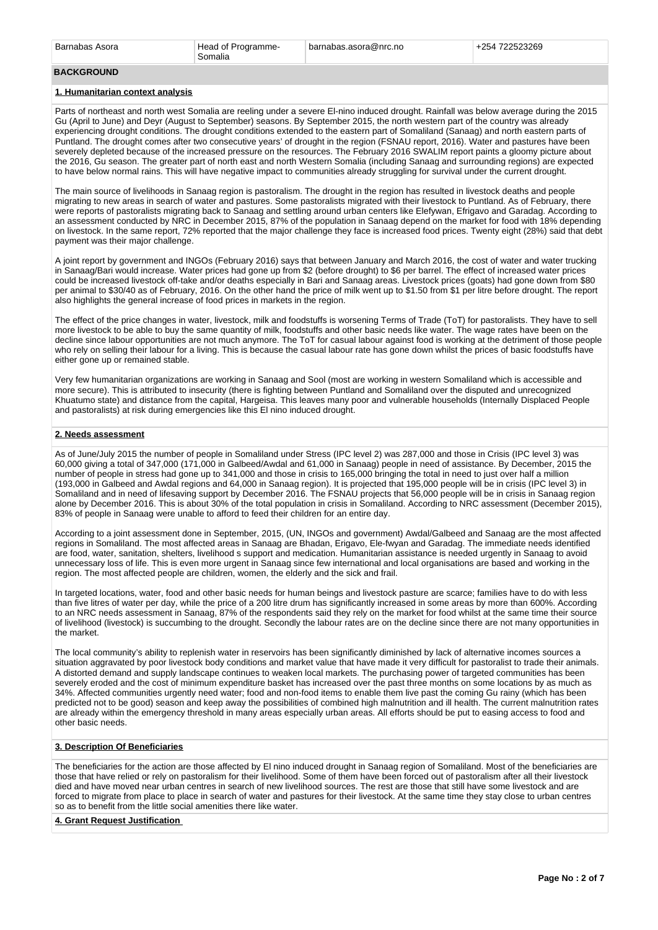### **BACKGROUND**

#### **1. Humanitarian context analysis**

Parts of northeast and north west Somalia are reeling under a severe El-nino induced drought. Rainfall was below average during the 2015 Gu (April to June) and Deyr (August to September) seasons. By September 2015, the north western part of the country was already experiencing drought conditions. The drought conditions extended to the eastern part of Somaliland (Sanaag) and north eastern parts of Puntland. The drought comes after two consecutive years' of drought in the region (FSNAU report, 2016). Water and pastures have been severely depleted because of the increased pressure on the resources. The February 2016 SWALIM report paints a gloomy picture about the 2016, Gu season. The greater part of north east and north Western Somalia (including Sanaag and surrounding regions) are expected to have below normal rains. This will have negative impact to communities already struggling for survival under the current drought.

The main source of livelihoods in Sanaag region is pastoralism. The drought in the region has resulted in livestock deaths and people migrating to new areas in search of water and pastures. Some pastoralists migrated with their livestock to Puntland. As of February, there were reports of pastoralists migrating back to Sanaag and settling around urban centers like Elefywan, Efrigavo and Garadag. According to an assessment conducted by NRC in December 2015, 87% of the population in Sanaag depend on the market for food with 18% depending on livestock. In the same report, 72% reported that the major challenge they face is increased food prices. Twenty eight (28%) said that debt payment was their major challenge.

A joint report by government and INGOs (February 2016) says that between January and March 2016, the cost of water and water trucking in Sanaag/Bari would increase. Water prices had gone up from \$2 (before drought) to \$6 per barrel. The effect of increased water prices could be increased livestock off-take and/or deaths especially in Bari and Sanaag areas. Livestock prices (goats) had gone down from \$80 per animal to \$30/40 as of February, 2016. On the other hand the price of milk went up to \$1.50 from \$1 per litre before drought. The report also highlights the general increase of food prices in markets in the region.

The effect of the price changes in water, livestock, milk and foodstuffs is worsening Terms of Trade (ToT) for pastoralists. They have to sell more livestock to be able to buy the same quantity of milk, foodstuffs and other basic needs like water. The wage rates have been on the decline since labour opportunities are not much anymore. The ToT for casual labour against food is working at the detriment of those people who rely on selling their labour for a living. This is because the casual labour rate has gone down whilst the prices of basic foodstuffs have either gone up or remained stable.

Very few humanitarian organizations are working in Sanaag and Sool (most are working in western Somaliland which is accessible and more secure). This is attributed to insecurity (there is fighting between Puntland and Somaliland over the disputed and unrecognized Khuatumo state) and distance from the capital, Hargeisa. This leaves many poor and vulnerable households (Internally Displaced People and pastoralists) at risk during emergencies like this El nino induced drought.

#### **2. Needs assessment**

As of June/July 2015 the number of people in Somaliland under Stress (IPC level 2) was 287,000 and those in Crisis (IPC level 3) was 60,000 giving a total of 347,000 (171,000 in Galbeed/Awdal and 61,000 in Sanaag) people in need of assistance. By December, 2015 the number of people in stress had gone up to 341,000 and those in crisis to 165,000 bringing the total in need to just over half a million (193,000 in Galbeed and Awdal regions and 64,000 in Sanaag region). It is projected that 195,000 people will be in crisis (IPC level 3) in Somaliland and in need of lifesaving support by December 2016. The FSNAU projects that 56,000 people will be in crisis in Sanaag region alone by December 2016. This is about 30% of the total population in crisis in Somaliland. According to NRC assessment (December 2015), 83% of people in Sanaag were unable to afford to feed their children for an entire day.

According to a joint assessment done in September, 2015, (UN, INGOs and government) Awdal/Galbeed and Sanaag are the most affected regions in Somaliland. The most affected areas in Sanaag are Bhadan, Erigavo, Ele-fwyan and Garadag. The immediate needs identified are food, water, sanitation, shelters, livelihood s support and medication. Humanitarian assistance is needed urgently in Sanaag to avoid unnecessary loss of life. This is even more urgent in Sanaag since few international and local organisations are based and working in the region. The most affected people are children, women, the elderly and the sick and frail.

In targeted locations, water, food and other basic needs for human beings and livestock pasture are scarce; families have to do with less than five litres of water per day, while the price of a 200 litre drum has significantly increased in some areas by more than 600%. According to an NRC needs assessment in Sanaag, 87% of the respondents said they rely on the market for food whilst at the same time their source of livelihood (livestock) is succumbing to the drought. Secondly the labour rates are on the decline since there are not many opportunities in the market.

The local community's ability to replenish water in reservoirs has been significantly diminished by lack of alternative incomes sources a situation aggravated by poor livestock body conditions and market value that have made it very difficult for pastoralist to trade their animals. A distorted demand and supply landscape continues to weaken local markets. The purchasing power of targeted communities has been severely eroded and the cost of minimum expenditure basket has increased over the past three months on some locations by as much as 34%. Affected communities urgently need water; food and non-food items to enable them live past the coming Gu rainy (which has been predicted not to be good) season and keep away the possibilities of combined high malnutrition and ill health. The current malnutrition rates are already within the emergency threshold in many areas especially urban areas. All efforts should be put to easing access to food and other basic needs.

#### **3. Description Of Beneficiaries**

The beneficiaries for the action are those affected by El nino induced drought in Sanaag region of Somaliland. Most of the beneficiaries are those that have relied or rely on pastoralism for their livelihood. Some of them have been forced out of pastoralism after all their livestock died and have moved near urban centres in search of new livelihood sources. The rest are those that still have some livestock and are forced to migrate from place to place in search of water and pastures for their livestock. At the same time they stay close to urban centres so as to benefit from the little social amenities there like water.

#### **4. Grant Request Justification**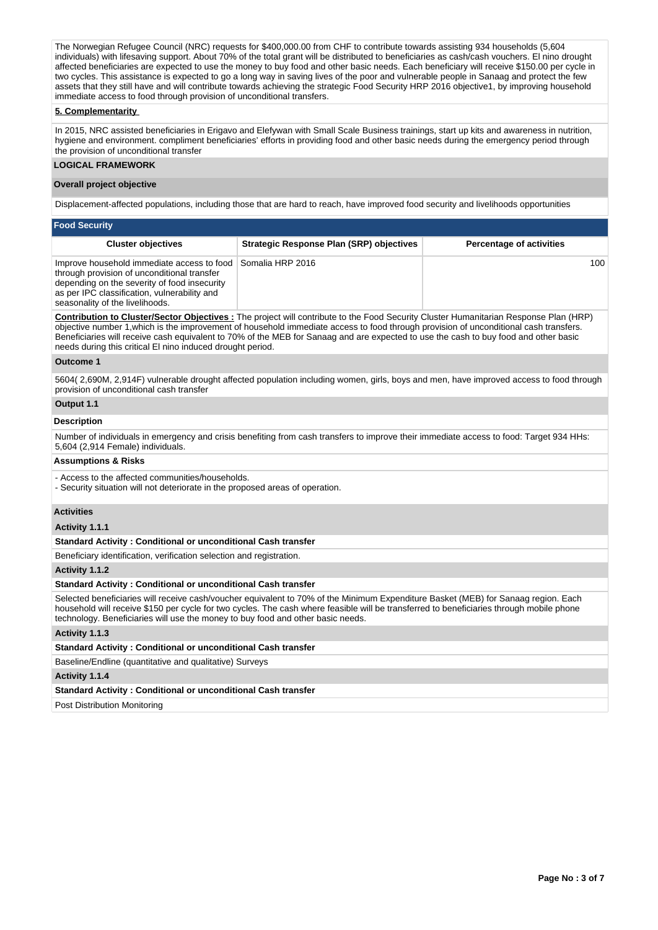The Norwegian Refugee Council (NRC) requests for \$400,000.00 from CHF to contribute towards assisting 934 households (5,604 individuals) with lifesaving support. About 70% of the total grant will be distributed to beneficiaries as cash/cash vouchers. El nino drought affected beneficiaries are expected to use the money to buy food and other basic needs. Each beneficiary will receive \$150.00 per cycle in two cycles. This assistance is expected to go a long way in saving lives of the poor and vulnerable people in Sanaag and protect the few assets that they still have and will contribute towards achieving the strategic Food Security HRP 2016 objective1, by improving household immediate access to food through provision of unconditional transfers.

# **5. Complementarity**

In 2015, NRC assisted beneficiaries in Erigavo and Elefywan with Small Scale Business trainings, start up kits and awareness in nutrition, hygiene and environment. compliment beneficiaries' efforts in providing food and other basic needs during the emergency period through the provision of unconditional transfer

# **LOGICAL FRAMEWORK**

#### **Overall project objective**

Displacement-affected populations, including those that are hard to reach, have improved food security and livelihoods opportunities

| <b>Food Security</b>                                                                                                                                                                                                                          |                                                 |                                 |  |  |  |  |  |  |  |
|-----------------------------------------------------------------------------------------------------------------------------------------------------------------------------------------------------------------------------------------------|-------------------------------------------------|---------------------------------|--|--|--|--|--|--|--|
| <b>Cluster objectives</b>                                                                                                                                                                                                                     | <b>Strategic Response Plan (SRP) objectives</b> | <b>Percentage of activities</b> |  |  |  |  |  |  |  |
| Improve household immediate access to food Somalia HRP 2016<br>through provision of unconditional transfer<br>depending on the severity of food insecurity<br>as per IPC classification, vulnerability and<br>seasonality of the livelihoods. |                                                 | 100                             |  |  |  |  |  |  |  |

**Contribution to Cluster/Sector Objectives :** The project will contribute to the Food Security Cluster Humanitarian Response Plan (HRP) objective number 1,which is the improvement of household immediate access to food through provision of unconditional cash transfers. Beneficiaries will receive cash equivalent to 70% of the MEB for Sanaag and are expected to use the cash to buy food and other basic needs during this critical El nino induced drought period.

#### **Outcome 1**

5604( 2,690M, 2,914F) vulnerable drought affected population including women, girls, boys and men, have improved access to food through provision of unconditional cash transfer

# **Output 1.1**

# **Description**

Number of individuals in emergency and crisis benefiting from cash transfers to improve their immediate access to food: Target 934 HHs: 5,604 (2,914 Female) individuals.

# **Assumptions & Risks**

- Access to the affected communities/households.

- Security situation will not deteriorate in the proposed areas of operation.

# **Activities**

**Activity 1.1.1** 

**Standard Activity : Conditional or unconditional Cash transfer**

Beneficiary identification, verification selection and registration.

#### **Activity 1.1.2**

# **Standard Activity : Conditional or unconditional Cash transfer**

Selected beneficiaries will receive cash/voucher equivalent to 70% of the Minimum Expenditure Basket (MEB) for Sanaag region. Each household will receive \$150 per cycle for two cycles. The cash where feasible will be transferred to beneficiaries through mobile phone technology. Beneficiaries will use the money to buy food and other basic needs.

### **Activity 1.1.3**

### **Standard Activity : Conditional or unconditional Cash transfer**

Baseline/Endline (quantitative and qualitative) Surveys

#### **Activity 1.1.4**

### **Standard Activity : Conditional or unconditional Cash transfer**

Post Distribution Monitoring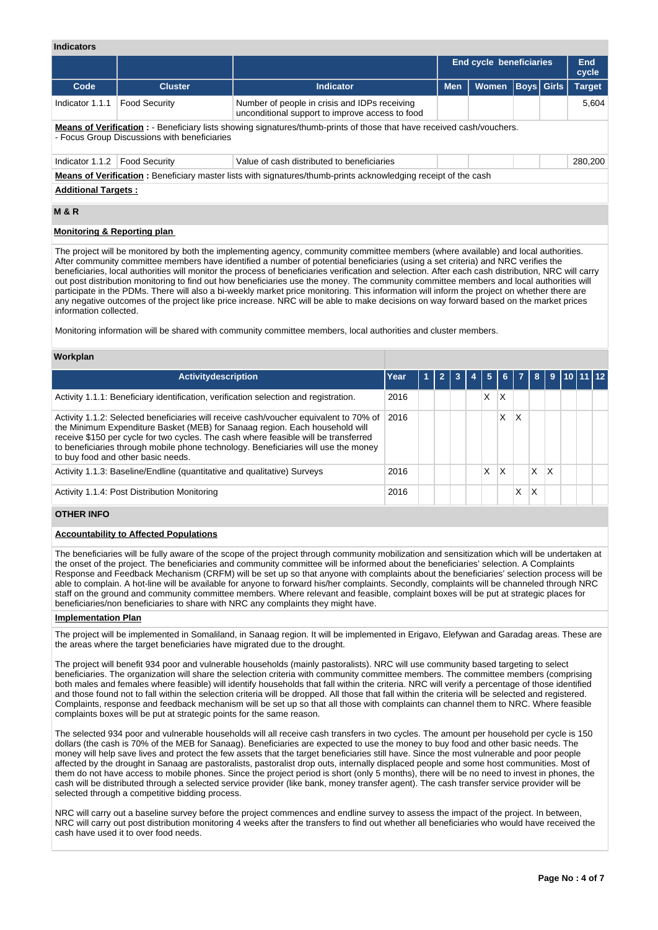# **Indicators**

|                                                                                                                        |                                                                                                                                   |                                                                                                                               | End cycle beneficiaries |              | <b>End</b><br>cycle |  |               |  |  |
|------------------------------------------------------------------------------------------------------------------------|-----------------------------------------------------------------------------------------------------------------------------------|-------------------------------------------------------------------------------------------------------------------------------|-------------------------|--------------|---------------------|--|---------------|--|--|
| Code                                                                                                                   | <b>Cluster</b>                                                                                                                    | <b>Indicator</b>                                                                                                              | <b>Men</b>              | <b>Women</b> | <b>Boys</b> Girls   |  | <b>Target</b> |  |  |
| Indicator 1.1.1                                                                                                        | <b>Food Security</b><br>Number of people in crisis and IDPs receiving<br>5.604<br>unconditional support to improve access to food |                                                                                                                               |                         |              |                     |  |               |  |  |
|                                                                                                                        | - Focus Group Discussions with beneficiaries                                                                                      | <b>Means of Verification</b> : - Beneficiary lists showing signatures/thumb-prints of those that have received cash/vouchers. |                         |              |                     |  |               |  |  |
| Indicator 1.1.2                                                                                                        | <b>Food Security</b>                                                                                                              | Value of cash distributed to beneficiaries                                                                                    |                         |              |                     |  | 280,200       |  |  |
| <b>Means of Verification</b> : Beneficiary master lists with signatures/thumb-prints acknowledging receipt of the cash |                                                                                                                                   |                                                                                                                               |                         |              |                     |  |               |  |  |
|                                                                                                                        | <b>Additional Targets:</b>                                                                                                        |                                                                                                                               |                         |              |                     |  |               |  |  |

# **M & R**

### **Monitoring & Reporting plan**

The project will be monitored by both the implementing agency, community committee members (where available) and local authorities. After community committee members have identified a number of potential beneficiaries (using a set criteria) and NRC verifies the beneficiaries, local authorities will monitor the process of beneficiaries verification and selection. After each cash distribution, NRC will carry out post distribution monitoring to find out how beneficiaries use the money. The community committee members and local authorities will participate in the PDMs. There will also a bi-weekly market price monitoring. This information will inform the project on whether there are any negative outcomes of the project like price increase. NRC will be able to make decisions on way forward based on the market prices information collected.

Monitoring information will be shared with community committee members, local authorities and cluster members.

# **Workplan**

| <b>Activitydescription</b>                                                                                                                                                                                                                                                                                                                                                              | Year |  |  | 457 | 6 <sup>1</sup> | -7 I | $\mathbf{8}$ |   | 9   10   11   12 |  |
|-----------------------------------------------------------------------------------------------------------------------------------------------------------------------------------------------------------------------------------------------------------------------------------------------------------------------------------------------------------------------------------------|------|--|--|-----|----------------|------|--------------|---|------------------|--|
| Activity 1.1.1: Beneficiary identification, verification selection and registration.                                                                                                                                                                                                                                                                                                    | 2016 |  |  | x   | Χ              |      |              |   |                  |  |
| Activity 1.1.2: Selected beneficiaries will receive cash/voucher equivalent to 70% of<br>the Minimum Expenditure Basket (MEB) for Sanaag region. Each household will<br>receive \$150 per cycle for two cycles. The cash where feasible will be transferred<br>to beneficiaries through mobile phone technology. Beneficiaries will use the money<br>to buy food and other basic needs. | 2016 |  |  |     | X              | X    |              |   |                  |  |
| Activity 1.1.3: Baseline/Endline (quantitative and qualitative) Surveys                                                                                                                                                                                                                                                                                                                 | 2016 |  |  | X   | X              |      | X            | X |                  |  |
| Activity 1.1.4: Post Distribution Monitoring                                                                                                                                                                                                                                                                                                                                            | 2016 |  |  |     |                | X    | х            |   |                  |  |

# **OTHER INFO**

#### **Accountability to Affected Populations**

The beneficiaries will be fully aware of the scope of the project through community mobilization and sensitization which will be undertaken at the onset of the project. The beneficiaries and community committee will be informed about the beneficiaries' selection. A Complaints Response and Feedback Mechanism (CRFM) will be set up so that anyone with complaints about the beneficiaries' selection process will be able to complain. A hot-line will be available for anyone to forward his/her complaints. Secondly, complaints will be channeled through NRC staff on the ground and community committee members. Where relevant and feasible, complaint boxes will be put at strategic places for beneficiaries/non beneficiaries to share with NRC any complaints they might have.

#### **Implementation Plan**

The project will be implemented in Somaliland, in Sanaag region. It will be implemented in Erigavo, Elefywan and Garadag areas. These are the areas where the target beneficiaries have migrated due to the drought.

The project will benefit 934 poor and vulnerable households (mainly pastoralists). NRC will use community based targeting to select beneficiaries. The organization will share the selection criteria with community committee members. The committee members (comprising both males and females where feasible) will identify households that fall within the criteria. NRC will verify a percentage of those identified and those found not to fall within the selection criteria will be dropped. All those that fall within the criteria will be selected and registered. Complaints, response and feedback mechanism will be set up so that all those with complaints can channel them to NRC. Where feasible complaints boxes will be put at strategic points for the same reason.

The selected 934 poor and vulnerable households will all receive cash transfers in two cycles. The amount per household per cycle is 150 dollars (the cash is 70% of the MEB for Sanaag). Beneficiaries are expected to use the money to buy food and other basic needs. The money will help save lives and protect the few assets that the target beneficiaries still have. Since the most vulnerable and poor people affected by the drought in Sanaag are pastoralists, pastoralist drop outs, internally displaced people and some host communities. Most of them do not have access to mobile phones. Since the project period is short (only 5 months), there will be no need to invest in phones, the cash will be distributed through a selected service provider (like bank, money transfer agent). The cash transfer service provider will be selected through a competitive bidding process.

NRC will carry out a baseline survey before the project commences and endline survey to assess the impact of the project. In between, NRC will carry out post distribution monitoring 4 weeks after the transfers to find out whether all beneficiaries who would have received the cash have used it to over food needs.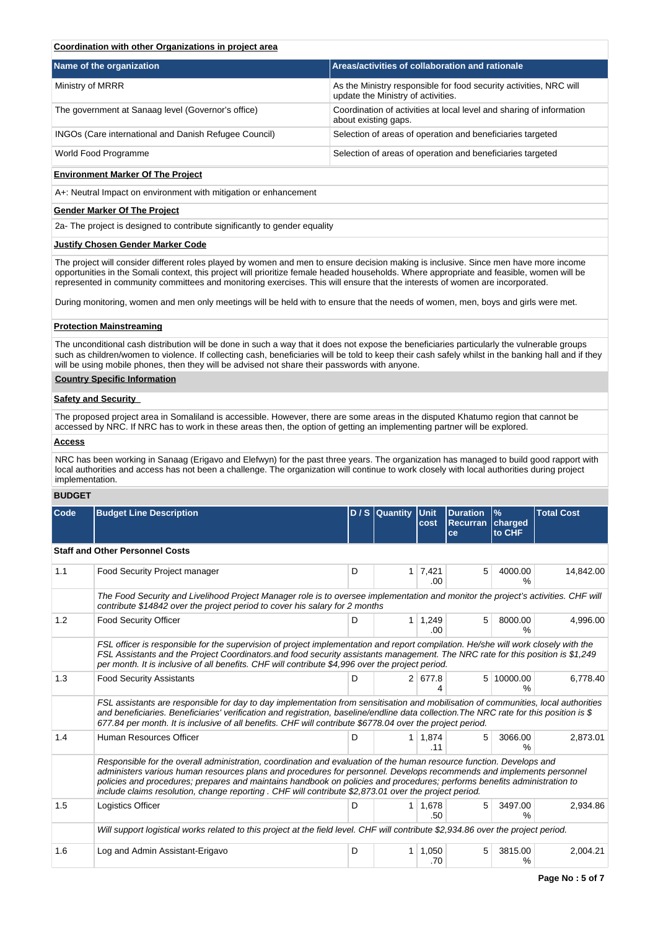# **Coordination with other Organizations in project area**

| Name of the organization                              | Areas/activities of collaboration and rationale                                                          |
|-------------------------------------------------------|----------------------------------------------------------------------------------------------------------|
| Ministry of MRRR                                      | As the Ministry responsible for food security activities, NRC will<br>update the Ministry of activities. |
| The government at Sanaag level (Governor's office)    | Coordination of activities at local level and sharing of information<br>about existing gaps.             |
| INGOs (Care international and Danish Refugee Council) | Selection of areas of operation and beneficiaries targeted                                               |
| World Food Programme                                  | Selection of areas of operation and beneficiaries targeted                                               |

# **Environment Marker Of The Project**

A+: Neutral Impact on environment with mitigation or enhancement

# **Gender Marker Of The Project**

2a- The project is designed to contribute significantly to gender equality

### **Justify Chosen Gender Marker Code**

The project will consider different roles played by women and men to ensure decision making is inclusive. Since men have more income opportunities in the Somali context, this project will prioritize female headed households. Where appropriate and feasible, women will be represented in community committees and monitoring exercises. This will ensure that the interests of women are incorporated.

During monitoring, women and men only meetings will be held with to ensure that the needs of women, men, boys and girls were met.

# **Protection Mainstreaming**

The unconditional cash distribution will be done in such a way that it does not expose the beneficiaries particularly the vulnerable groups such as children/women to violence. If collecting cash, beneficiaries will be told to keep their cash safely whilst in the banking hall and if they will be using mobile phones, then they will be advised not share their passwords with anyone.

# **Country Specific Information**

#### **Safety and Security**

The proposed project area in Somaliland is accessible. However, there are some areas in the disputed Khatumo region that cannot be accessed by NRC. If NRC has to work in these areas then, the option of getting an implementing partner will be explored.

# **Access**

NRC has been working in Sanaag (Erigavo and Elefwyn) for the past three years. The organization has managed to build good rapport with local authorities and access has not been a challenge. The organization will continue to work closely with local authorities during project implementation.

# **BUDGET**

| Code | <b>Budget Line Description</b>                                                                                                                                                                                                                                                                                                                                                                                                                                                   |   | D / S Quantity Unit | cost                  | <b>Duration</b><br>Recurran<br><b>ce</b> | $\%$<br>charged<br>to CHF | <b>Total Cost</b> |
|------|----------------------------------------------------------------------------------------------------------------------------------------------------------------------------------------------------------------------------------------------------------------------------------------------------------------------------------------------------------------------------------------------------------------------------------------------------------------------------------|---|---------------------|-----------------------|------------------------------------------|---------------------------|-------------------|
|      | <b>Staff and Other Personnel Costs</b>                                                                                                                                                                                                                                                                                                                                                                                                                                           |   |                     |                       |                                          |                           |                   |
| 1.1  | Food Security Project manager                                                                                                                                                                                                                                                                                                                                                                                                                                                    | D | 1 <sup>1</sup>      | 7,421<br>.00          | 5                                        | 4000.00<br>$\%$           | 14,842.00         |
|      | The Food Security and Livelihood Project Manager role is to oversee implementation and monitor the project's activities. CHF will<br>contribute \$14842 over the project period to cover his salary for 2 months                                                                                                                                                                                                                                                                 |   |                     |                       |                                          |                           |                   |
| 1.2  | <b>Food Security Officer</b>                                                                                                                                                                                                                                                                                                                                                                                                                                                     | D | 1 <sup>1</sup>      | 1,249<br>.00.         | 5                                        | 8000.00<br>$\frac{0}{0}$  | 4,996.00          |
|      | FSL officer is responsible for the supervision of project implementation and report compilation. He/she will work closely with the<br>FSL Assistants and the Project Coordinators and food security assistants management. The NRC rate for this position is \$1,249<br>per month. It is inclusive of all benefits. CHF will contribute \$4,996 over the project period.                                                                                                         |   |                     |                       |                                          |                           |                   |
| 1.3  | <b>Food Security Assistants</b>                                                                                                                                                                                                                                                                                                                                                                                                                                                  | D |                     | 2 677.8               | 5 <sup>1</sup>                           | 10000.00                  | 6,778.40          |
|      | FSL assistants are responsible for day to day implementation from sensitisation and mobilisation of communities, local authorities<br>and beneficiaries. Beneficiaries' verification and registration, baseline/endline data collection. The NRC rate for this position is \$<br>677.84 per month. It is inclusive of all benefits. CHF will contribute \$6778.04 over the project period.                                                                                       |   |                     |                       |                                          |                           |                   |
| 1.4  | Human Resources Officer                                                                                                                                                                                                                                                                                                                                                                                                                                                          | D |                     | $1 \mid 1,874$<br>.11 | 5                                        | 3066.00<br>$\frac{0}{6}$  | 2,873.01          |
|      | Responsible for the overall administration, coordination and evaluation of the human resource function. Develops and<br>administers various human resources plans and procedures for personnel. Develops recommends and implements personnel<br>policies and procedures; prepares and maintains handbook on policies and procedures; performs benefits administration to<br>include claims resolution, change reporting. CHF will contribute \$2,873.01 over the project period. |   |                     |                       |                                          |                           |                   |
| 1.5  | Logistics Officer                                                                                                                                                                                                                                                                                                                                                                                                                                                                | D | 1 <sup>1</sup>      | 1.678<br>.50          | 5                                        | 3497.00<br>$\%$           | 2.934.86          |
|      | Will support logistical works related to this project at the field level. CHF will contribute \$2,934.86 over the project period.                                                                                                                                                                                                                                                                                                                                                |   |                     |                       |                                          |                           |                   |
| 1.6  | Log and Admin Assistant-Erigavo                                                                                                                                                                                                                                                                                                                                                                                                                                                  | D | $\mathbf{1}$        | 1.050<br>.70          | 5                                        | 3815.00<br>℅              | 2.004.21          |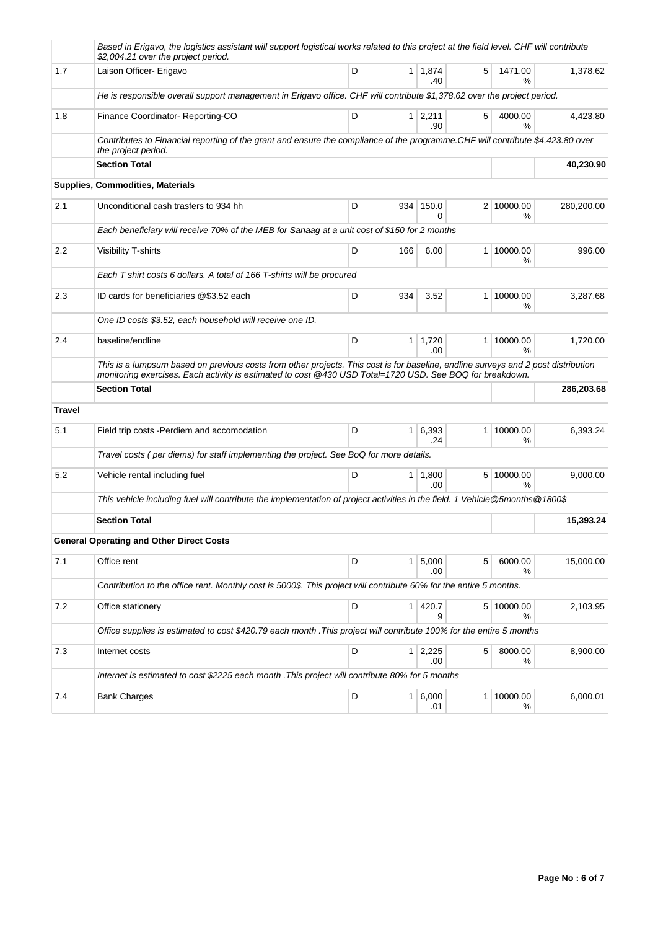|               | Based in Erigavo, the logistics assistant will support logistical works related to this project at the field level. CHF will contribute<br>\$2,004.21 over the project period.                                                                |   |     |                       |   |                    |            |  |  |  |
|---------------|-----------------------------------------------------------------------------------------------------------------------------------------------------------------------------------------------------------------------------------------------|---|-----|-----------------------|---|--------------------|------------|--|--|--|
| 1.7           | Laison Officer- Erigavo                                                                                                                                                                                                                       | D |     | $1 \mid 1,874$<br>.40 | 5 | 1471.00<br>%       | 1,378.62   |  |  |  |
|               | He is responsible overall support management in Erigavo office. CHF will contribute \$1,378.62 over the project period.                                                                                                                       |   |     |                       |   |                    |            |  |  |  |
| 1.8           | Finance Coordinator-Reporting-CO                                                                                                                                                                                                              | D |     | $1 \mid 2,211$<br>.90 | 5 | 4000.00<br>%       | 4,423.80   |  |  |  |
|               | Contributes to Financial reporting of the grant and ensure the compliance of the programme.CHF will contribute \$4,423.80 over<br>the project period.                                                                                         |   |     |                       |   |                    |            |  |  |  |
|               | <b>Section Total</b>                                                                                                                                                                                                                          |   |     |                       |   |                    | 40,230.90  |  |  |  |
|               | <b>Supplies, Commodities, Materials</b>                                                                                                                                                                                                       |   |     |                       |   |                    |            |  |  |  |
| 2.1           | Unconditional cash trasfers to 934 hh                                                                                                                                                                                                         | D | 934 | 150.0<br>0            |   | 2 10000.00<br>%    | 280,200.00 |  |  |  |
|               | Each beneficiary will receive 70% of the MEB for Sanaag at a unit cost of \$150 for 2 months                                                                                                                                                  |   |     |                       |   |                    |            |  |  |  |
| 2.2           | Visibility T-shirts                                                                                                                                                                                                                           | D | 166 | 6.00                  |   | 1 10000.00<br>%    | 996.00     |  |  |  |
|               | Each T shirt costs 6 dollars. A total of 166 T-shirts will be procured                                                                                                                                                                        |   |     |                       |   |                    |            |  |  |  |
| 2.3           | ID cards for beneficiaries @\$3.52 each                                                                                                                                                                                                       | D | 934 | 3.52                  |   | 1 10000.00<br>℅    | 3.287.68   |  |  |  |
|               | One ID costs \$3.52, each household will receive one ID.                                                                                                                                                                                      |   |     |                       |   |                    |            |  |  |  |
| 2.4           | baseline/endline                                                                                                                                                                                                                              | D |     | $1 \mid 1,720$<br>.00 |   | 1 10000.00<br>%    | 1,720.00   |  |  |  |
|               | This is a lumpsum based on previous costs from other projects. This cost is for baseline, endline surveys and 2 post distribution<br>monitoring exercises. Each activity is estimated to cost @430 USD Total=1720 USD. See BOQ for breakdown. |   |     |                       |   |                    |            |  |  |  |
|               | <b>Section Total</b>                                                                                                                                                                                                                          |   |     |                       |   |                    | 286,203.68 |  |  |  |
| <b>Travel</b> |                                                                                                                                                                                                                                               |   |     |                       |   |                    |            |  |  |  |
| 5.1           | Field trip costs - Perdiem and accomodation                                                                                                                                                                                                   | D |     | 1 6,393<br>.24        |   | 1 10000.00<br>%    | 6,393.24   |  |  |  |
|               | Travel costs (per diems) for staff implementing the project. See BoQ for more details.                                                                                                                                                        |   |     |                       |   |                    |            |  |  |  |
| 5.2           | Vehicle rental including fuel                                                                                                                                                                                                                 | D |     | 1 1,800<br>.00.       |   | 5 10000.00<br>$\%$ | 9,000.00   |  |  |  |
|               | This vehicle including fuel will contribute the implementation of project activities in the field. 1 Vehicle@5months@1800\$                                                                                                                   |   |     |                       |   |                    |            |  |  |  |
|               | <b>Section Total</b>                                                                                                                                                                                                                          |   |     |                       |   |                    | 15,393.24  |  |  |  |
|               | <b>General Operating and Other Direct Costs</b>                                                                                                                                                                                               |   |     |                       |   |                    |            |  |  |  |
| 7.1           | Office rent                                                                                                                                                                                                                                   | D |     | 1 5,000<br>.00        | 5 | 6000.00<br>%       | 15,000.00  |  |  |  |
|               | Contribution to the office rent. Monthly cost is 5000\$. This project will contribute 60% for the entire 5 months.                                                                                                                            |   |     |                       |   |                    |            |  |  |  |
| 7.2           | Office stationery                                                                                                                                                                                                                             | D |     | 1 420.7<br>9          |   | 5 10000.00<br>%    | 2,103.95   |  |  |  |
|               | Office supplies is estimated to cost \$420.79 each month . This project will contribute 100% for the entire 5 months                                                                                                                          |   |     |                       |   |                    |            |  |  |  |
| 7.3           | Internet costs                                                                                                                                                                                                                                | D |     | $1 \mid 2,225$<br>.00 | 5 | 8000.00<br>℅       | 8,900.00   |  |  |  |
|               | Internet is estimated to cost \$2225 each month . This project will contribute 80% for 5 months                                                                                                                                               |   |     |                       |   |                    |            |  |  |  |
| 7.4           | <b>Bank Charges</b>                                                                                                                                                                                                                           | D |     | 1 6,000<br>.01        |   | 1 10000.00<br>%    | 6,000.01   |  |  |  |